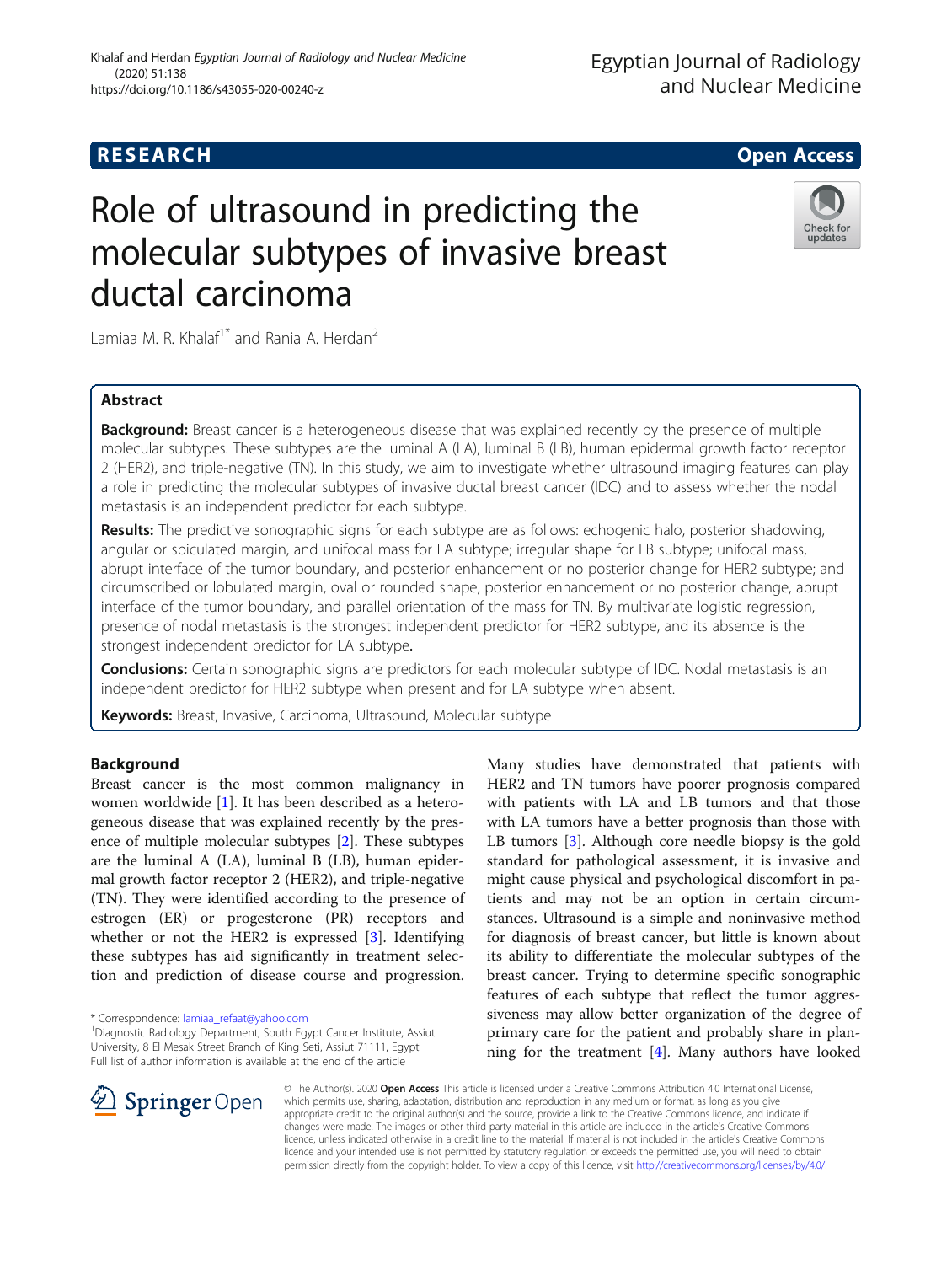## **RESEARCH CHILD CONTROL** CONTROL CONTROL CONTROL CONTROL CONTROL CONTROL CONTROL CONTROL CONTROL CONTROL CONTROL

# Role of ultrasound in predicting the molecular subtypes of invasive breast ductal carcinoma



Lamiaa M. R. Khalaf<sup>1\*</sup> and Rania A. Herdan<sup>2</sup>

## Abstract

**Background:** Breast cancer is a heterogeneous disease that was explained recently by the presence of multiple molecular subtypes. These subtypes are the luminal A (LA), luminal B (LB), human epidermal growth factor receptor 2 (HER2), and triple-negative (TN). In this study, we aim to investigate whether ultrasound imaging features can play a role in predicting the molecular subtypes of invasive ductal breast cancer (IDC) and to assess whether the nodal metastasis is an independent predictor for each subtype.

Results: The predictive sonographic signs for each subtype are as follows: echogenic halo, posterior shadowing, angular or spiculated margin, and unifocal mass for LA subtype; irregular shape for LB subtype; unifocal mass, abrupt interface of the tumor boundary, and posterior enhancement or no posterior change for HER2 subtype; and circumscribed or lobulated margin, oval or rounded shape, posterior enhancement or no posterior change, abrupt interface of the tumor boundary, and parallel orientation of the mass for TN. By multivariate logistic regression, presence of nodal metastasis is the strongest independent predictor for HER2 subtype, and its absence is the strongest independent predictor for LA subtype.

**Conclusions:** Certain sonographic signs are predictors for each molecular subtype of IDC. Nodal metastasis is an independent predictor for HER2 subtype when present and for LA subtype when absent.

Keywords: Breast, Invasive, Carcinoma, Ultrasound, Molecular subtype

## Background

Breast cancer is the most common malignancy in women worldwide [\[1](#page-7-0)]. It has been described as a heterogeneous disease that was explained recently by the presence of multiple molecular subtypes [[2\]](#page-7-0). These subtypes are the luminal A (LA), luminal B (LB), human epidermal growth factor receptor 2 (HER2), and triple-negative (TN). They were identified according to the presence of estrogen (ER) or progesterone (PR) receptors and whether or not the HER2 is expressed [[3\]](#page-7-0). Identifying these subtypes has aid significantly in treatment selection and prediction of disease course and progression.

\* Correspondence: [lamiaa\\_refaat@yahoo.com](mailto:lamiaa_refaat@yahoo.com) <sup>1</sup>

Many studies have demonstrated that patients with HER2 and TN tumors have poorer prognosis compared with patients with LA and LB tumors and that those with LA tumors have a better prognosis than those with LB tumors [\[3](#page-7-0)]. Although core needle biopsy is the gold standard for pathological assessment, it is invasive and might cause physical and psychological discomfort in patients and may not be an option in certain circumstances. Ultrasound is a simple and noninvasive method for diagnosis of breast cancer, but little is known about its ability to differentiate the molecular subtypes of the breast cancer. Trying to determine specific sonographic features of each subtype that reflect the tumor aggressiveness may allow better organization of the degree of primary care for the patient and probably share in planning for the treatment [\[4](#page-7-0)]. Many authors have looked



© The Author(s). 2020 Open Access This article is licensed under a Creative Commons Attribution 4.0 International License, which permits use, sharing, adaptation, distribution and reproduction in any medium or format, as long as you give appropriate credit to the original author(s) and the source, provide a link to the Creative Commons licence, and indicate if changes were made. The images or other third party material in this article are included in the article's Creative Commons licence, unless indicated otherwise in a credit line to the material. If material is not included in the article's Creative Commons licence and your intended use is not permitted by statutory regulation or exceeds the permitted use, you will need to obtain permission directly from the copyright holder. To view a copy of this licence, visit <http://creativecommons.org/licenses/by/4.0/>.

<sup>&</sup>lt;sup>1</sup> Diagnostic Radiology Department, South Egypt Cancer Institute, Assiut University, 8 El Mesak Street Branch of King Seti, Assiut 71111, Egypt Full list of author information is available at the end of the article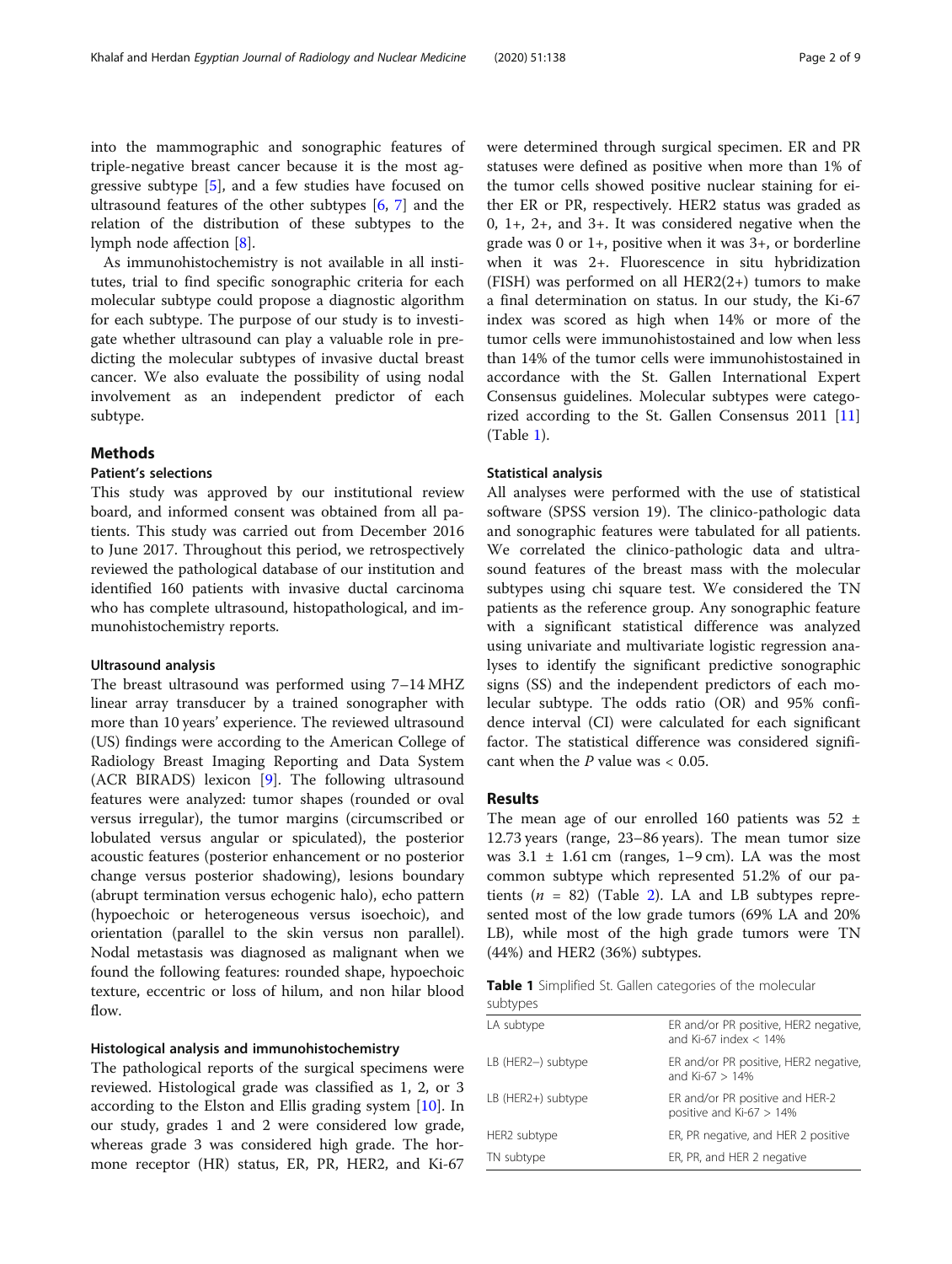into the mammographic and sonographic features of triple-negative breast cancer because it is the most aggressive subtype [[5\]](#page-7-0), and a few studies have focused on ultrasound features of the other subtypes [\[6](#page-7-0), [7\]](#page-7-0) and the relation of the distribution of these subtypes to the lymph node affection [[8\]](#page-7-0).

As immunohistochemistry is not available in all institutes, trial to find specific sonographic criteria for each molecular subtype could propose a diagnostic algorithm for each subtype. The purpose of our study is to investigate whether ultrasound can play a valuable role in predicting the molecular subtypes of invasive ductal breast cancer. We also evaluate the possibility of using nodal involvement as an independent predictor of each subtype.

### Methods

#### Patient's selections

This study was approved by our institutional review board, and informed consent was obtained from all patients. This study was carried out from December 2016 to June 2017. Throughout this period, we retrospectively reviewed the pathological database of our institution and identified 160 patients with invasive ductal carcinoma who has complete ultrasound, histopathological, and immunohistochemistry reports.

#### Ultrasound analysis

The breast ultrasound was performed using 7–14 MHZ linear array transducer by a trained sonographer with more than 10 years' experience. The reviewed ultrasound (US) findings were according to the American College of Radiology Breast Imaging Reporting and Data System (ACR BIRADS) lexicon [[9\]](#page-7-0). The following ultrasound features were analyzed: tumor shapes (rounded or oval versus irregular), the tumor margins (circumscribed or lobulated versus angular or spiculated), the posterior acoustic features (posterior enhancement or no posterior change versus posterior shadowing), lesions boundary (abrupt termination versus echogenic halo), echo pattern (hypoechoic or heterogeneous versus isoechoic), and orientation (parallel to the skin versus non parallel). Nodal metastasis was diagnosed as malignant when we found the following features: rounded shape, hypoechoic texture, eccentric or loss of hilum, and non hilar blood flow.

#### Histological analysis and immunohistochemistry

The pathological reports of the surgical specimens were reviewed. Histological grade was classified as 1, 2, or 3 according to the Elston and Ellis grading system [\[10](#page-7-0)]. In our study, grades 1 and 2 were considered low grade, whereas grade 3 was considered high grade. The hormone receptor (HR) status, ER, PR, HER2, and Ki-67 were determined through surgical specimen. ER and PR statuses were defined as positive when more than 1% of the tumor cells showed positive nuclear staining for either ER or PR, respectively. HER2 status was graded as 0, 1+, 2+, and 3+. It was considered negative when the grade was 0 or 1+, positive when it was 3+, or borderline when it was 2+. Fluorescence in situ hybridization  $(FISH)$  was performed on all HER2 $(2+)$  tumors to make a final determination on status. In our study, the Ki-67 index was scored as high when 14% or more of the tumor cells were immunohistostained and low when less than 14% of the tumor cells were immunohistostained in accordance with the St. Gallen International Expert Consensus guidelines. Molecular subtypes were categorized according to the St. Gallen Consensus 2011 [[11](#page-7-0)] (Table 1).

#### Statistical analysis

All analyses were performed with the use of statistical software (SPSS version 19). The clinico-pathologic data and sonographic features were tabulated for all patients. We correlated the clinico-pathologic data and ultrasound features of the breast mass with the molecular subtypes using chi square test. We considered the TN patients as the reference group. Any sonographic feature with a significant statistical difference was analyzed using univariate and multivariate logistic regression analyses to identify the significant predictive sonographic signs (SS) and the independent predictors of each molecular subtype. The odds ratio (OR) and 95% confidence interval (CI) were calculated for each significant factor. The statistical difference was considered significant when the  $P$  value was  $< 0.05$ .

## **Results**

The mean age of our enrolled 160 patients was 52 ± 12.73 years (range, 23–86 years). The mean tumor size was  $3.1 \pm 1.61$  cm (ranges, 1–9 cm). LA was the most common subtype which represented 51.2% of our patients ( $n = 82$ ) (Table [2\)](#page-2-0). LA and LB subtypes represented most of the low grade tumors (69% LA and 20% LB), while most of the high grade tumors were TN (44%) and HER2 (36%) subtypes.

|          |  | Table 1 Simplified St. Gallen categories of the molecular |  |  |
|----------|--|-----------------------------------------------------------|--|--|
| subtypes |  |                                                           |  |  |

| LA subtype         | ER and/or PR positive, HER2 negative,<br>and Ki-67 index $<$ 14% |
|--------------------|------------------------------------------------------------------|
| LB (HER2-) subtype | ER and/or PR positive, HER2 negative,<br>and Ki-67 $> 14%$       |
| LB (HER2+) subtype | ER and/or PR positive and HER-2<br>positive and Ki-67 $> 14\%$   |
| HER2 subtype       | ER, PR negative, and HER 2 positive                              |
| TN subtype         | ER, PR, and HER 2 negative                                       |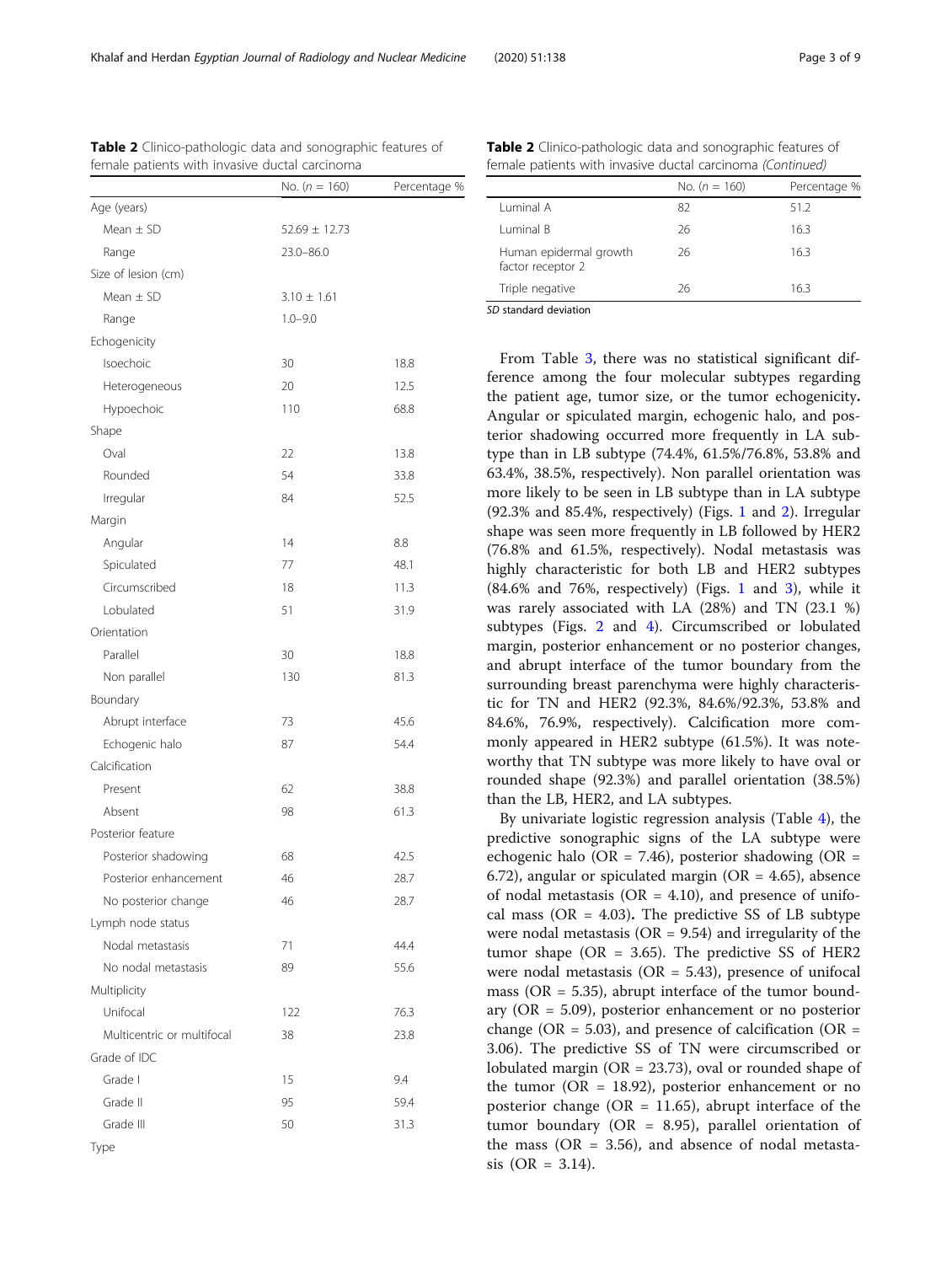riate logistic regression analysis (Table  $4$ ), the sonographic signs of the LA subtype were halo (OR = 7.46), posterior shadowing (OR = the flat or spiculated margin (OR = 4.65), absence netastasis (OR = 4.10), and presence of unifocal mass (OR =  $4.03$ ). The predictive SS of LB subtype were nodal metastasis ( $OR = 9.54$ ) and irregularity of the tumor shape ( $OR = 3.65$ ). The predictive SS of HER2 were nodal metastasis ( $OR = 5.43$ ), presence of unifocal mass ( $OR = 5.35$ ), abrupt interface of the tumor boundary (OR = 5.09), posterior enhancement or no posterior change (OR = 5.03), and presence of calcification (OR = 3.06). The predictive SS of TN were circumscribed or lobulated margin ( $OR = 23.73$ ), oval or rounded shape of the tumor ( $OR = 18.92$ ), posterior enhancement or no posterior change ( $OR = 11.65$ ), abrupt interface of the tumor boundary (OR = 8.95), parallel orientation of the mass ( $OR = 3.56$ ), and absence of nodal metasta $sis$  (OR = 3.14).

Table 2 Clinico-pathologic data and sonographic features of female patients with invasive ductal carcinoma (Continued)

Luminal A 62 51.2 Luminal B 26 26 16.3

Human epidermal growth factor receptor 2

| Mean $\pm$ SD         | $3.10 \pm 1.61$ |      | 16.3<br>Triple negative<br>26                                                                                     |
|-----------------------|-----------------|------|-------------------------------------------------------------------------------------------------------------------|
| Range                 | $1.0 - 9.0$     |      | SD standard deviation                                                                                             |
| Echogenicity          |                 |      |                                                                                                                   |
| Isoechoic             | 30              | 18.8 | From Table 3, there was no statistical significant dif-                                                           |
|                       |                 |      | ference among the four molecular subtypes regarding                                                               |
| Heterogeneous         | 20              | 12.5 | the patient age, tumor size, or the tumor echogenicity.                                                           |
| Hypoechoic            | 110             | 68.8 | Angular or spiculated margin, echogenic halo, and pos-                                                            |
| Shape                 |                 |      | terior shadowing occurred more frequently in LA sub-                                                              |
| Oval                  | 22              | 13.8 | type than in LB subtype (74.4%, 61.5%/76.8%, 53.8% and                                                            |
| Rounded               | 54              | 33.8 | 63.4%, 38.5%, respectively). Non parallel orientation was                                                         |
| Irregular             | 84              | 52.5 | more likely to be seen in LB subtype than in LA subtype                                                           |
| Margin                |                 |      | (92.3% and 85.4%, respectively) (Figs. 1 and 2). Irregular                                                        |
| Angular               | 14              | 8.8  | shape was seen more frequently in LB followed by HER2                                                             |
| Spiculated            | 77              | 48.1 | (76.8% and 61.5%, respectively). Nodal metastasis was                                                             |
|                       |                 |      | highly characteristic for both LB and HER2 subtypes                                                               |
| Circumscribed         | 18              | 11.3 | $(84.6\%$ and 76%, respectively) (Figs. 1 and 3), while it                                                        |
| Lobulated             | 51              | 31.9 | was rarely associated with LA (28%) and TN (23.1 %)                                                               |
| Orientation           |                 |      | subtypes (Figs. 2 and 4). Circumscribed or lobulated                                                              |
| Parallel              | 30              | 18.8 | margin, posterior enhancement or no posterior changes,<br>and abrupt interface of the tumor boundary from the     |
| Non parallel          | 130             | 81.3 | surrounding breast parenchyma were highly characteris-                                                            |
| Boundary              |                 |      | tic for TN and HER2 (92.3%, 84.6%/92.3%, 53.8% and                                                                |
| Abrupt interface      | 73              | 45.6 | 84.6%, 76.9%, respectively). Calcification more com-                                                              |
| Echogenic halo        | 87              | 54.4 | monly appeared in HER2 subtype (61.5%). It was note-                                                              |
| Calcification         |                 |      | worthy that TN subtype was more likely to have oval or                                                            |
| Present               | 62              | 38.8 | rounded shape (92.3%) and parallel orientation (38.5%)                                                            |
|                       |                 |      | than the LB, HER2, and LA subtypes.                                                                               |
| Absent                | 98              | 61.3 | By univariate logistic regression analysis (Table 4), the                                                         |
| Posterior feature     |                 |      | predictive sonographic signs of the LA subtype were                                                               |
| Posterior shadowing   | 68              | 42.5 | echogenic halo (OR = 7.46), posterior shadowing (OR =                                                             |
| Posterior enhancement | 46              | 28.7 | 6.72), angular or spiculated margin (OR = 4.65), absence                                                          |
| No posterior change   | 46              | 28.7 | of nodal metastasis ( $OR = 4.10$ ), and presence of unifo-<br>$(OP = 4.99)$ $TH = 11$ and $G = 11$ and $T = 1$ . |
|                       |                 |      |                                                                                                                   |

<span id="page-2-0"></span>

| <b>Table 2</b> Clinico-pathologic data and sonographic features of |  |
|--------------------------------------------------------------------|--|
| female patients with invasive ductal carcinoma                     |  |

 $Mean + SD$  52.69  $+ 12.73$ Range 23.0–86.0

Age (years)

Lymph node status

Multiplicity

Grade of IDC

**Type** 

Nodal metastasis 71 71 44.4 No nodal metastasis 89 89 55.6

Unifocal 122 76.3 Multicentric or multifocal 38 23.8

Grade I 15 9.4 Grade II 95 59.4 Grade III 50 31.3

Size of lesion (cm) Mean Range

No.  $(n = 160)$  Percentage %

No.  $(n = 160)$  Percentage %

26 16.3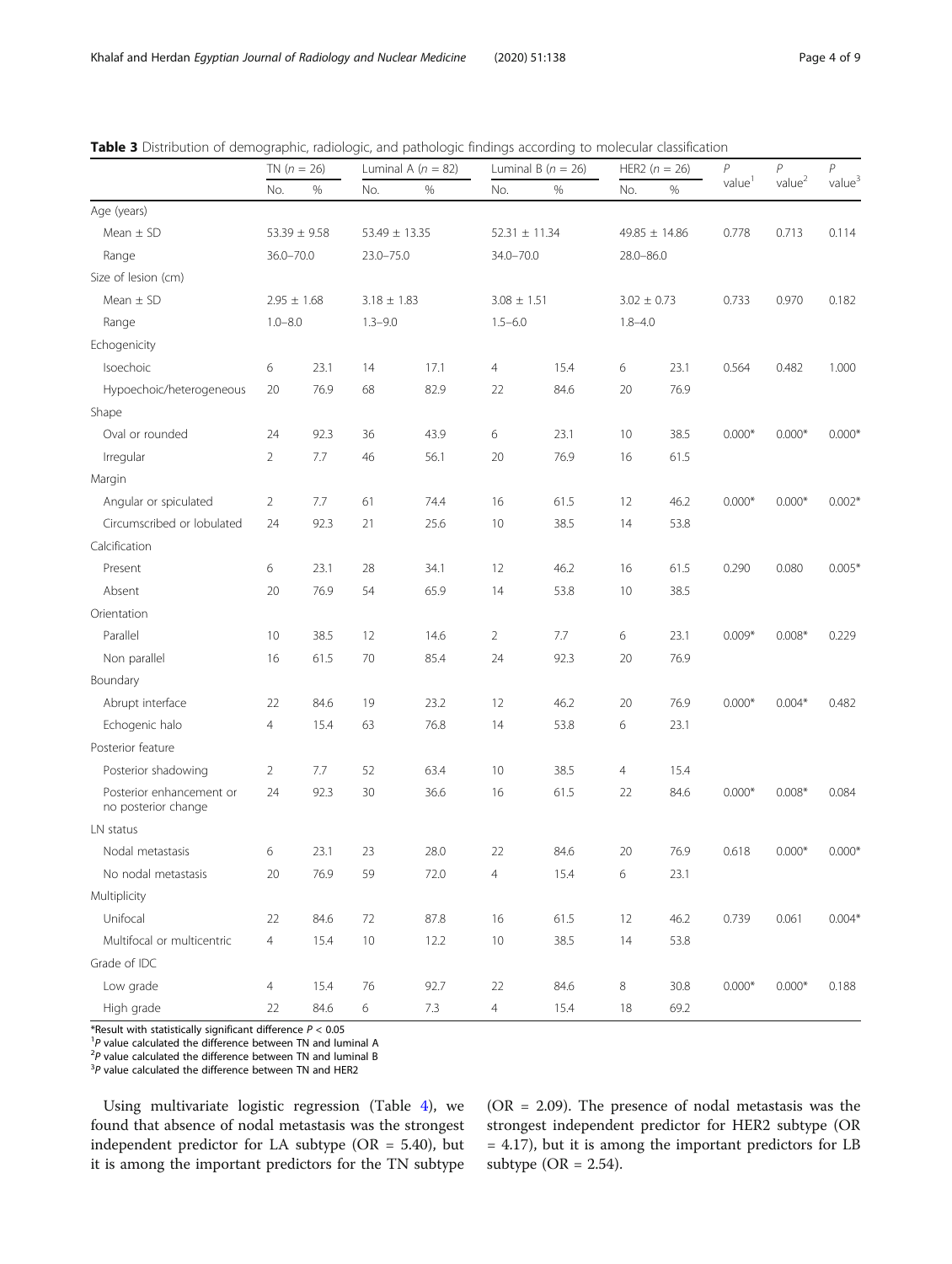|                                                 | TN $(n = 26)$   |                  | Luminal A $(n = 82)$ |         | Luminal B ( $n = 26$ ) |      | HER2 ( $n = 26$ ) |                   | $\overline{P}$     | $\overline{P}$     | P                  |
|-------------------------------------------------|-----------------|------------------|----------------------|---------|------------------------|------|-------------------|-------------------|--------------------|--------------------|--------------------|
|                                                 | No.             | $\%$             | No.                  | %       | No.                    | %    | No.               | %                 | value <sup>1</sup> | value <sup>2</sup> | value <sup>3</sup> |
| Age (years)                                     |                 |                  |                      |         |                        |      |                   |                   |                    |                    |                    |
| Mean $\pm$ SD                                   |                 | $53.39 \pm 9.58$ | $53.49 \pm 13.35$    |         | $52.31 \pm 11.34$      |      |                   | $49.85 \pm 14.86$ | 0.778              | 0.713              | 0.114              |
| Range                                           | $36.0 - 70.0$   |                  | $23.0 - 75.0$        |         | 34.0-70.0              |      | $28.0 - 86.0$     |                   |                    |                    |                    |
| Size of lesion (cm)                             |                 |                  |                      |         |                        |      |                   |                   |                    |                    |                    |
| Mean $\pm$ SD                                   | $2.95 \pm 1.68$ |                  | $3.18 \pm 1.83$      |         | $3.08 \pm 1.51$        |      | $3.02 \pm 0.73$   |                   | 0.733              | 0.970              | 0.182              |
| Range                                           | $1.0 - 8.0$     |                  | $1.3 - 9.0$          |         | $1.5 - 6.0$            |      | $1.8 - 4.0$       |                   |                    |                    |                    |
| Echogenicity                                    |                 |                  |                      |         |                        |      |                   |                   |                    |                    |                    |
| Isoechoic                                       | 6               | 23.1             | 14                   | 17.1    | 4                      | 15.4 | 6                 | 23.1              | 0.564              | 0.482              | 1.000              |
| Hypoechoic/heterogeneous                        | 20              | 76.9             | 68                   | 82.9    | 22                     | 84.6 | 20                | 76.9              |                    |                    |                    |
| Shape                                           |                 |                  |                      |         |                        |      |                   |                   |                    |                    |                    |
| Oval or rounded                                 | 24              | 92.3             | 36                   | 43.9    | 6                      | 23.1 | 10                | 38.5              | $0.000*$           | $0.000*$           | $0.000*$           |
| Irregular                                       | $\overline{2}$  | 7.7              | 46                   | 56.1    | 20                     | 76.9 | 16                | 61.5              |                    |                    |                    |
| Margin                                          |                 |                  |                      |         |                        |      |                   |                   |                    |                    |                    |
| Angular or spiculated                           | $\overline{2}$  | 7.7              | 61                   | 74.4    | 16                     | 61.5 | 12                | 46.2              | $0.000*$           | $0.000*$           | $0.002*$           |
| Circumscribed or lobulated                      | 24              | 92.3             | 21                   | 25.6    | 10                     | 38.5 | 14                | 53.8              |                    |                    |                    |
| Calcification                                   |                 |                  |                      |         |                        |      |                   |                   |                    |                    |                    |
| Present                                         | 6               | 23.1             | 28                   | 34.1    | 12                     | 46.2 | 16                | 61.5              | 0.290              | 0.080              | $0.005*$           |
| Absent                                          | 20              | 76.9             | 54                   | 65.9    | 14                     | 53.8 | 10                | 38.5              |                    |                    |                    |
| Orientation                                     |                 |                  |                      |         |                        |      |                   |                   |                    |                    |                    |
| Parallel                                        | 10              | 38.5             | 12                   | 14.6    | $\overline{2}$         | 7.7  | 6                 | 23.1              | $0.009*$           | $0.008*$           | 0.229              |
| Non parallel                                    | 16              | 61.5             | 70                   | 85.4    | 24                     | 92.3 | 20                | 76.9              |                    |                    |                    |
| Boundary                                        |                 |                  |                      |         |                        |      |                   |                   |                    |                    |                    |
| Abrupt interface                                | 22              | 84.6             | 19                   | 23.2    | 12                     | 46.2 | 20                | 76.9              | $0.000*$           | $0.004*$           | 0.482              |
| Echogenic halo                                  | 4               | 15.4             | 63                   | 76.8    | 14                     | 53.8 | 6                 | 23.1              |                    |                    |                    |
| Posterior feature                               |                 |                  |                      |         |                        |      |                   |                   |                    |                    |                    |
| Posterior shadowing                             | $\overline{2}$  | 7.7              | 52                   | 63.4    | 10                     | 38.5 | $\overline{4}$    | 15.4              |                    |                    |                    |
| Posterior enhancement or<br>no posterior change | 24              | 92.3             | 30                   | 36.6    | 16                     | 61.5 | 22                | 84.6              | $0.000*$           | $0.008*$           | 0.084              |
| LN status                                       |                 |                  |                      |         |                        |      |                   |                   |                    |                    |                    |
| Nodal metastasis                                | 6               | 23.1             | 23                   | 28.0    | 22                     | 84.6 | 20                | 76.9              | 0.618              | $0.000*$           | $0.000*$           |
| No nodal metastasis                             | 20              | 76.9             | 59                   | 72.0    | $\overline{4}$         | 15.4 | 6                 | 23.1              |                    |                    |                    |
| Multiplicity                                    |                 |                  |                      |         |                        |      |                   |                   |                    |                    |                    |
| Unifocal                                        | 22              | 84.6             | 72                   | 87.8    | 16                     | 61.5 | 12                | 46.2              | 0.739              | 0.061              | $0.004*$           |
| Multifocal or multicentric                      | $\overline{4}$  | 15.4             | $10$                 | 12.2    | $10$                   | 38.5 | 14                | 53.8              |                    |                    |                    |
| Grade of IDC                                    |                 |                  |                      |         |                        |      |                   |                   |                    |                    |                    |
| Low grade                                       | $\overline{4}$  | 15.4             | 76                   | 92.7    | 22                     | 84.6 | 8                 | 30.8              | $0.000*$           | $0.000*$           | 0.188              |
| High grade                                      | 22              | 84.6             | 6                    | $7.3\,$ | $\overline{4}$         | 15.4 | $18\,$            | 69.2              |                    |                    |                    |

<span id="page-3-0"></span>Table 3 Distribution of demographic, radiologic, and pathologic findings according to molecular classification

\*Result with statistically significant difference  $P < 0.05$ 

 ${}^{1}P$  value calculated the difference between TN and luminal A

 $P^2P$  value calculated the difference between TN and luminal B

 $3$ P value calculated the difference between TN and HER2

Using multivariate logistic regression (Table [4](#page-6-0)), we found that absence of nodal metastasis was the strongest independent predictor for LA subtype (OR = 5.40), but it is among the important predictors for the TN subtype

(OR = 2.09). The presence of nodal metastasis was the strongest independent predictor for HER2 subtype (OR = 4.17), but it is among the important predictors for LB subtype ( $OR = 2.54$ ).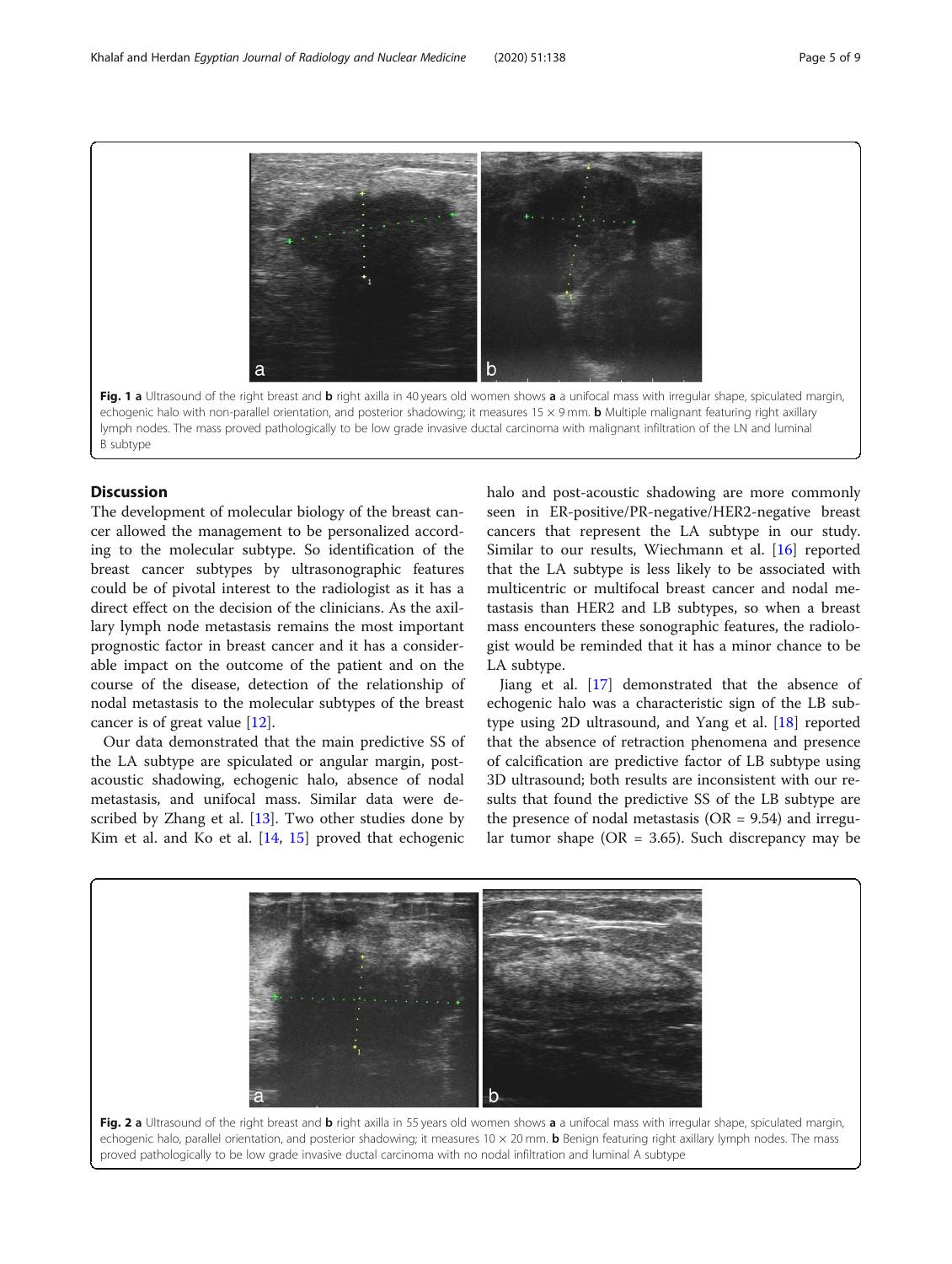<span id="page-4-0"></span>Fig. 1 a Ultrasound of the right breast and b right axilla in 40 years old women shows a a unifocal mass with irregular shape, spiculated margin, echogenic halo with non-parallel orientation, and posterior shadowing; it measures  $15 \times 9$  mm. **b** Multiple malignant featuring right axillary lymph nodes. The mass proved pathologically to be low grade invasive ductal carcinoma with malignant infiltration of the LN and luminal B subtype

#### **Discussion**

The development of molecular biology of the breast cancer allowed the management to be personalized according to the molecular subtype. So identification of the breast cancer subtypes by ultrasonographic features could be of pivotal interest to the radiologist as it has a direct effect on the decision of the clinicians. As the axillary lymph node metastasis remains the most important prognostic factor in breast cancer and it has a considerable impact on the outcome of the patient and on the course of the disease, detection of the relationship of nodal metastasis to the molecular subtypes of the breast cancer is of great value [\[12\]](#page-7-0).

Our data demonstrated that the main predictive SS of the LA subtype are spiculated or angular margin, postacoustic shadowing, echogenic halo, absence of nodal metastasis, and unifocal mass. Similar data were described by Zhang et al. [\[13](#page-7-0)]. Two other studies done by Kim et al. and Ko et al.  $[14, 15]$  $[14, 15]$  $[14, 15]$  $[14, 15]$  proved that echogenic

halo and post-acoustic shadowing are more commonly seen in ER-positive/PR-negative/HER2-negative breast cancers that represent the LA subtype in our study. Similar to our results, Wiechmann et al. [\[16](#page-8-0)] reported that the LA subtype is less likely to be associated with multicentric or multifocal breast cancer and nodal metastasis than HER2 and LB subtypes, so when a breast mass encounters these sonographic features, the radiologist would be reminded that it has a minor chance to be LA subtype.

Jiang et al. [[17\]](#page-8-0) demonstrated that the absence of echogenic halo was a characteristic sign of the LB subtype using 2D ultrasound, and Yang et al. [[18\]](#page-8-0) reported that the absence of retraction phenomena and presence of calcification are predictive factor of LB subtype using 3D ultrasound; both results are inconsistent with our results that found the predictive SS of the LB subtype are the presence of nodal metastasis ( $OR = 9.54$ ) and irregular tumor shape ( $OR = 3.65$ ). Such discrepancy may be

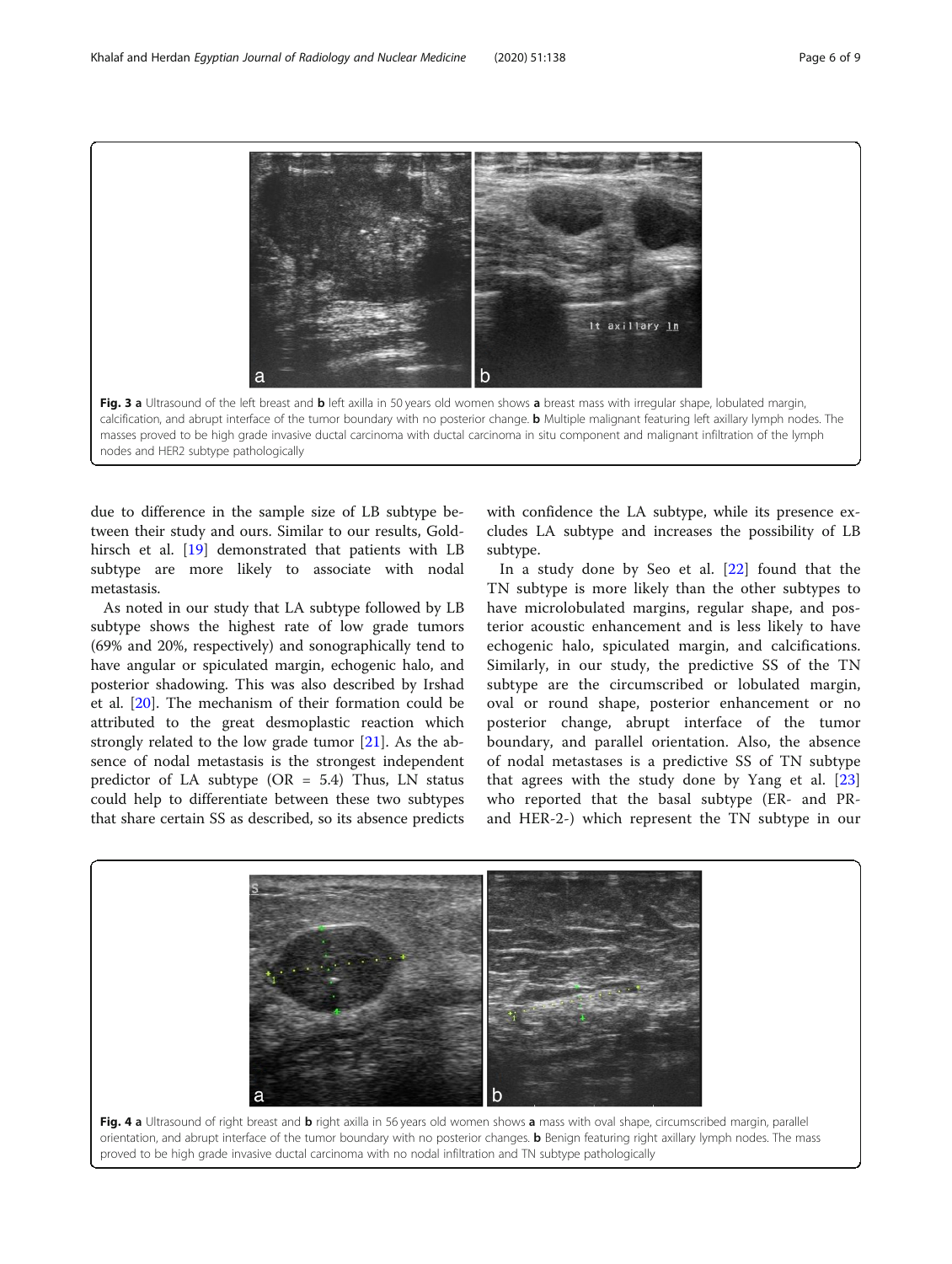<span id="page-5-0"></span>It axillary <u>In</u> Fig. 3 a Ultrasound of the left breast and b left axilla in 50 years old women shows a breast mass with irregular shape, lobulated margin, calcification, and abrupt interface of the tumor boundary with no posterior change. **b** Multiple malignant featuring left axillary lymph nodes. The masses proved to be high grade invasive ductal carcinoma with ductal carcinoma in situ component and malignant infiltration of the lymph nodes and HER2 subtype pathologically

due to difference in the sample size of LB subtype between their study and ours. Similar to our results, Goldhirsch et al. [\[19](#page-8-0)] demonstrated that patients with LB subtype are more likely to associate with nodal metastasis.

As noted in our study that LA subtype followed by LB subtype shows the highest rate of low grade tumors (69% and 20%, respectively) and sonographically tend to have angular or spiculated margin, echogenic halo, and posterior shadowing. This was also described by Irshad et al. [[20](#page-8-0)]. The mechanism of their formation could be attributed to the great desmoplastic reaction which strongly related to the low grade tumor [\[21](#page-8-0)]. As the absence of nodal metastasis is the strongest independent predictor of LA subtype  $(OR = 5.4)$  Thus, LN status could help to differentiate between these two subtypes that share certain SS as described, so its absence predicts

with confidence the LA subtype, while its presence excludes LA subtype and increases the possibility of LB subtype.

In a study done by Seo et al. [[22\]](#page-8-0) found that the TN subtype is more likely than the other subtypes to have microlobulated margins, regular shape, and posterior acoustic enhancement and is less likely to have echogenic halo, spiculated margin, and calcifications. Similarly, in our study, the predictive SS of the TN subtype are the circumscribed or lobulated margin, oval or round shape, posterior enhancement or no posterior change, abrupt interface of the tumor boundary, and parallel orientation. Also, the absence of nodal metastases is a predictive SS of TN subtype that agrees with the study done by Yang et al. [\[23](#page-8-0)] who reported that the basal subtype (ER- and PRand HER-2-) which represent the TN subtype in our

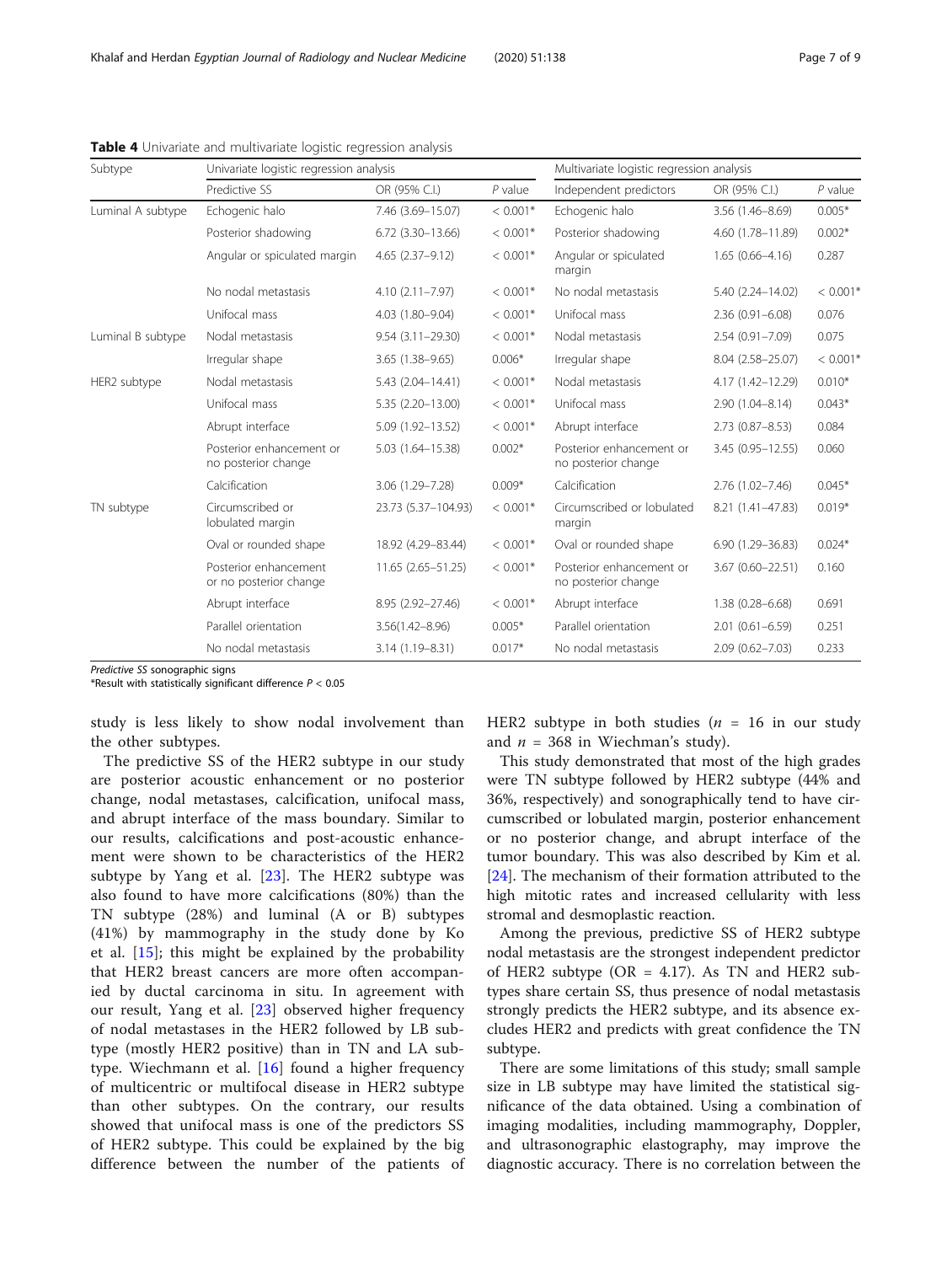Predictive SS sonographic signs

\*Result with statistically significant difference  $P < 0.05$ 

study is less likely to show nodal involvement than the other subtypes.

The predictive SS of the HER2 subtype in our study are posterior acoustic enhancement or no posterior change, nodal metastases, calcification, unifocal mass, and abrupt interface of the mass boundary. Similar to our results, calcifications and post-acoustic enhancement were shown to be characteristics of the HER2 subtype by Yang et al. [[23\]](#page-8-0). The HER2 subtype was also found to have more calcifications (80%) than the TN subtype (28%) and luminal (A or B) subtypes (41%) by mammography in the study done by Ko et al. [\[15](#page-8-0)]; this might be explained by the probability that HER2 breast cancers are more often accompanied by ductal carcinoma in situ. In agreement with our result, Yang et al. [[23\]](#page-8-0) observed higher frequency of nodal metastases in the HER2 followed by LB subtype (mostly HER2 positive) than in TN and LA subtype. Wiechmann et al. [\[16](#page-8-0)] found a higher frequency of multicentric or multifocal disease in HER2 subtype than other subtypes. On the contrary, our results showed that unifocal mass is one of the predictors SS of HER2 subtype. This could be explained by the big difference between the number of the patients of HER2 subtype in both studies ( $n = 16$  in our study and  $n = 368$  in Wiechman's study).

This study demonstrated that most of the high grades were TN subtype followed by HER2 subtype (44% and 36%, respectively) and sonographically tend to have circumscribed or lobulated margin, posterior enhancement or no posterior change, and abrupt interface of the tumor boundary. This was also described by Kim et al. [[24\]](#page-8-0). The mechanism of their formation attributed to the high mitotic rates and increased cellularity with less stromal and desmoplastic reaction.

Among the previous, predictive SS of HER2 subtype nodal metastasis are the strongest independent predictor of HER2 subtype ( $OR = 4.17$ ). As TN and HER2 subtypes share certain SS, thus presence of nodal metastasis strongly predicts the HER2 subtype, and its absence excludes HER2 and predicts with great confidence the TN subtype.

There are some limitations of this study; small sample size in LB subtype may have limited the statistical significance of the data obtained. Using a combination of imaging modalities, including mammography, Doppler, and ultrasonographic elastography, may improve the diagnostic accuracy. There is no correlation between the

| Subtype           | Univariate logistic regression analysis         |                         | Multivariate logistic regression analysis |                                                 |                     |            |  |
|-------------------|-------------------------------------------------|-------------------------|-------------------------------------------|-------------------------------------------------|---------------------|------------|--|
|                   | Predictive SS                                   | OR (95% C.I.)           | $P$ value                                 | Independent predictors                          | OR (95% C.I.)       | $P$ value  |  |
| Luminal A subtype | Echogenic halo                                  | 7.46 (3.69-15.07)       | $< 0.001*$                                | Echogenic halo                                  | $3.56(1.46 - 8.69)$ | $0.005*$   |  |
|                   | Posterior shadowing                             | $6.72$ $(3.30 - 13.66)$ | $< 0.001*$                                | Posterior shadowing                             | 4.60 (1.78-11.89)   | $0.002*$   |  |
|                   | Angular or spiculated margin                    | $4.65(2.37-9.12)$       | $< 0.001*$                                | Angular or spiculated<br>margin                 | $1.65(0.66 - 4.16)$ | 0.287      |  |
|                   | No nodal metastasis                             | $4.10(2.11 - 7.97)$     | $< 0.001*$                                | No nodal metastasis                             | 5.40 (2.24-14.02)   | $< 0.001*$ |  |
|                   | Unifocal mass                                   | 4.03 (1.80-9.04)        | $< 0.001*$                                | Unifocal mass                                   | $2.36(0.91 - 6.08)$ | 0.076      |  |
| Luminal B subtype | Nodal metastasis                                | $9.54(3.11 - 29.30)$    | $< 0.001*$                                | Nodal metastasis                                | $2.54(0.91 - 7.09)$ | 0.075      |  |
|                   | Irregular shape                                 | $3.65(1.38 - 9.65)$     | $0.006*$                                  | Irregular shape                                 | 8.04 (2.58-25.07)   | $< 0.001*$ |  |
| HER2 subtype      | Nodal metastasis                                | 5.43 (2.04-14.41)       | $< 0.001*$                                | Nodal metastasis                                | 4.17 (1.42-12.29)   | $0.010*$   |  |
|                   | Unifocal mass                                   | 5.35 (2.20-13.00)       | $< 0.001*$                                | Unifocal mass                                   | $2.90(1.04 - 8.14)$ | $0.043*$   |  |
|                   | Abrupt interface                                | 5.09 (1.92-13.52)       | $< 0.001*$                                | Abrupt interface                                | $2.73(0.87 - 8.53)$ | 0.084      |  |
|                   | Posterior enhancement or<br>no posterior change | 5.03 (1.64-15.38)       | $0.002*$                                  | Posterior enhancement or<br>no posterior change | 3.45 (0.95-12.55)   | 0.060      |  |
|                   | Calcification                                   | 3.06 (1.29-7.28)        | $0.009*$                                  | Calcification                                   | $2.76(1.02 - 7.46)$ | $0.045*$   |  |
| TN subtype        | Circumscribed or<br>lobulated margin            | 23.73 (5.37-104.93)     | $< 0.001*$                                | Circumscribed or lobulated<br>margin            | 8.21 (1.41-47.83)   | $0.019*$   |  |
|                   | Oval or rounded shape                           | 18.92 (4.29-83.44)      | $< 0.001*$                                | Oval or rounded shape                           | 6.90 (1.29-36.83)   | $0.024*$   |  |
|                   | Posterior enhancement<br>or no posterior change | 11.65 (2.65-51.25)      | $< 0.001*$                                | Posterior enhancement or<br>no posterior change | 3.67 (0.60-22.51)   | 0.160      |  |
|                   | Abrupt interface                                | 8.95 (2.92-27.46)       | $< 0.001*$                                | Abrupt interface                                | $1.38(0.28 - 6.68)$ | 0.691      |  |
|                   | Parallel orientation                            | $3.56(1.42 - 8.96)$     | $0.005*$                                  | Parallel orientation                            | $2.01(0.61 - 6.59)$ | 0.251      |  |
|                   | No nodal metastasis                             | 3.14 (1.19-8.31)        | $0.017*$                                  | No nodal metastasis                             | $2.09(0.62 - 7.03)$ | 0.233      |  |

<span id="page-6-0"></span>Table 4 Univariate and multivariate logistic regression analysis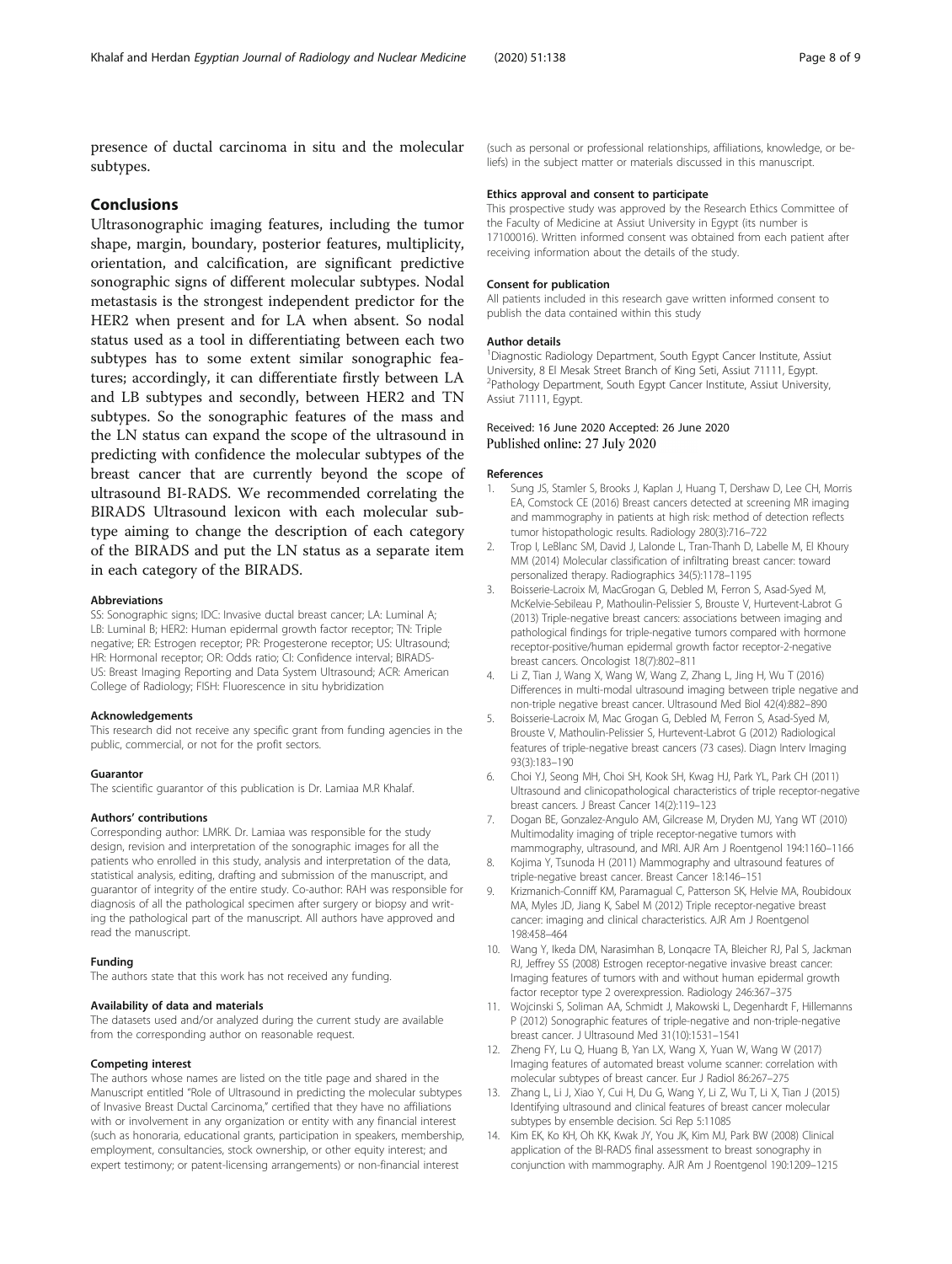<span id="page-7-0"></span>presence of ductal carcinoma in situ and the molecular subtypes.

#### Conclusions

Ultrasonographic imaging features, including the tumor shape, margin, boundary, posterior features, multiplicity, orientation, and calcification, are significant predictive sonographic signs of different molecular subtypes. Nodal metastasis is the strongest independent predictor for the HER2 when present and for LA when absent. So nodal status used as a tool in differentiating between each two subtypes has to some extent similar sonographic features; accordingly, it can differentiate firstly between LA and LB subtypes and secondly, between HER2 and TN subtypes. So the sonographic features of the mass and the LN status can expand the scope of the ultrasound in predicting with confidence the molecular subtypes of the breast cancer that are currently beyond the scope of ultrasound BI-RADS. We recommended correlating the BIRADS Ultrasound lexicon with each molecular subtype aiming to change the description of each category of the BIRADS and put the LN status as a separate item in each category of the BIRADS.

#### Abbreviations

SS: Sonographic signs; IDC: Invasive ductal breast cancer; LA: Luminal A; LB: Luminal B; HER2: Human epidermal growth factor receptor; TN: Triple negative; ER: Estrogen receptor; PR: Progesterone receptor; US: Ultrasound; HR: Hormonal receptor; OR: Odds ratio; CI: Confidence interval; BIRADS-US: Breast Imaging Reporting and Data System Ultrasound; ACR: American College of Radiology; FISH: Fluorescence in situ hybridization

#### Acknowledgements

This research did not receive any specific grant from funding agencies in the public, commercial, or not for the profit sectors.

#### Guarantor

The scientific guarantor of this publication is Dr. Lamiaa M.R Khalaf.

#### Authors' contributions

Corresponding author: LMRK. Dr. Lamiaa was responsible for the study design, revision and interpretation of the sonographic images for all the patients who enrolled in this study, analysis and interpretation of the data, statistical analysis, editing, drafting and submission of the manuscript, and guarantor of integrity of the entire study. Co-author: RAH was responsible for diagnosis of all the pathological specimen after surgery or biopsy and writing the pathological part of the manuscript. All authors have approved and read the manuscript.

#### Funding

The authors state that this work has not received any funding.

#### Availability of data and materials

The datasets used and/or analyzed during the current study are available from the corresponding author on reasonable request.

#### Competing interest

The authors whose names are listed on the title page and shared in the Manuscript entitled "Role of Ultrasound in predicting the molecular subtypes of Invasive Breast Ductal Carcinoma," certified that they have no affiliations with or involvement in any organization or entity with any financial interest (such as honoraria, educational grants, participation in speakers, membership, employment, consultancies, stock ownership, or other equity interest; and expert testimony; or patent-licensing arrangements) or non-financial interest

(such as personal or professional relationships, affiliations, knowledge, or beliefs) in the subject matter or materials discussed in this manuscript.

#### Ethics approval and consent to participate

This prospective study was approved by the Research Ethics Committee of the Faculty of Medicine at Assiut University in Egypt (its number is 17100016). Written informed consent was obtained from each patient after receiving information about the details of the study.

#### Consent for publication

All patients included in this research gave written informed consent to publish the data contained within this study

#### Author details

<sup>1</sup> Diagnostic Radiology Department, South Egypt Cancer Institute, Assiut University, 8 El Mesak Street Branch of King Seti, Assiut 71111, Egypt. 2 Pathology Department, South Egypt Cancer Institute, Assiut University, Assiut 71111, Egypt.

#### Received: 16 June 2020 Accepted: 26 June 2020 Published online: 27 July 2020

#### References

- 1. Sung JS, Stamler S, Brooks J, Kaplan J, Huang T, Dershaw D, Lee CH, Morris EA, Comstock CE (2016) Breast cancers detected at screening MR imaging and mammography in patients at high risk: method of detection reflects tumor histopathologic results. Radiology 280(3):716–722
- 2. Trop I, LeBlanc SM, David J, Lalonde L, Tran-Thanh D, Labelle M, El Khoury MM (2014) Molecular classification of infiltrating breast cancer: toward personalized therapy. Radiographics 34(5):1178–1195
- 3. Boisserie-Lacroix M, MacGrogan G, Debled M, Ferron S, Asad-Syed M, McKelvie-Sebileau P, Mathoulin-Pelissier S, Brouste V, Hurtevent-Labrot G (2013) Triple-negative breast cancers: associations between imaging and pathological findings for triple-negative tumors compared with hormone receptor-positive/human epidermal growth factor receptor-2-negative breast cancers. Oncologist 18(7):802–811
- 4. Li Z, Tian J, Wang X, Wang W, Wang Z, Zhang L, Jing H, Wu T (2016) Differences in multi-modal ultrasound imaging between triple negative and non-triple negative breast cancer. Ultrasound Med Biol 42(4):882–890
- 5. Boisserie-Lacroix M, Mac Grogan G, Debled M, Ferron S, Asad-Syed M, Brouste V, Mathoulin-Pelissier S, Hurtevent-Labrot G (2012) Radiological features of triple-negative breast cancers (73 cases). Diagn Interv Imaging 93(3):183–190
- 6. Choi YJ, Seong MH, Choi SH, Kook SH, Kwag HJ, Park YL, Park CH (2011) Ultrasound and clinicopathological characteristics of triple receptor-negative breast cancers. J Breast Cancer 14(2):119–123
- 7. Dogan BE, Gonzalez-Angulo AM, Gilcrease M, Dryden MJ, Yang WT (2010) Multimodality imaging of triple receptor-negative tumors with mammography, ultrasound, and MRI. AJR Am J Roentgenol 194:1160–1166
- 8. Kojima Y, Tsunoda H (2011) Mammography and ultrasound features of triple-negative breast cancer. Breast Cancer 18:146–151
- 9. Krizmanich-Conniff KM, Paramagual C, Patterson SK, Helvie MA, Roubidoux MA, Myles JD, Jiang K, Sabel M (2012) Triple receptor-negative breast cancer: imaging and clinical characteristics. AJR Am J Roentgenol 198:458–464
- 10. Wang Y, Ikeda DM, Narasimhan B, Lonqacre TA, Bleicher RJ, Pal S, Jackman RJ, Jeffrey SS (2008) Estrogen receptor-negative invasive breast cancer: Imaging features of tumors with and without human epidermal growth factor receptor type 2 overexpression. Radiology 246:367–375
- 11. Wojcinski S, Soliman AA, Schmidt J, Makowski L, Degenhardt F, Hillemanns P (2012) Sonographic features of triple-negative and non-triple-negative breast cancer. J Ultrasound Med 31(10):1531–1541
- 12. Zheng FY, Lu Q, Huang B, Yan LX, Wang X, Yuan W, Wang W (2017) Imaging features of automated breast volume scanner: correlation with molecular subtypes of breast cancer. Eur J Radiol 86:267–275
- 13. Zhang L, Li J, Xiao Y, Cui H, Du G, Wang Y, Li Z, Wu T, Li X, Tian J (2015) Identifying ultrasound and clinical features of breast cancer molecular subtypes by ensemble decision. Sci Rep 5:11085
- 14. Kim EK, Ko KH, Oh KK, Kwak JY, You JK, Kim MJ, Park BW (2008) Clinical application of the BI-RADS final assessment to breast sonography in conjunction with mammography. AJR Am J Roentgenol 190:1209–1215